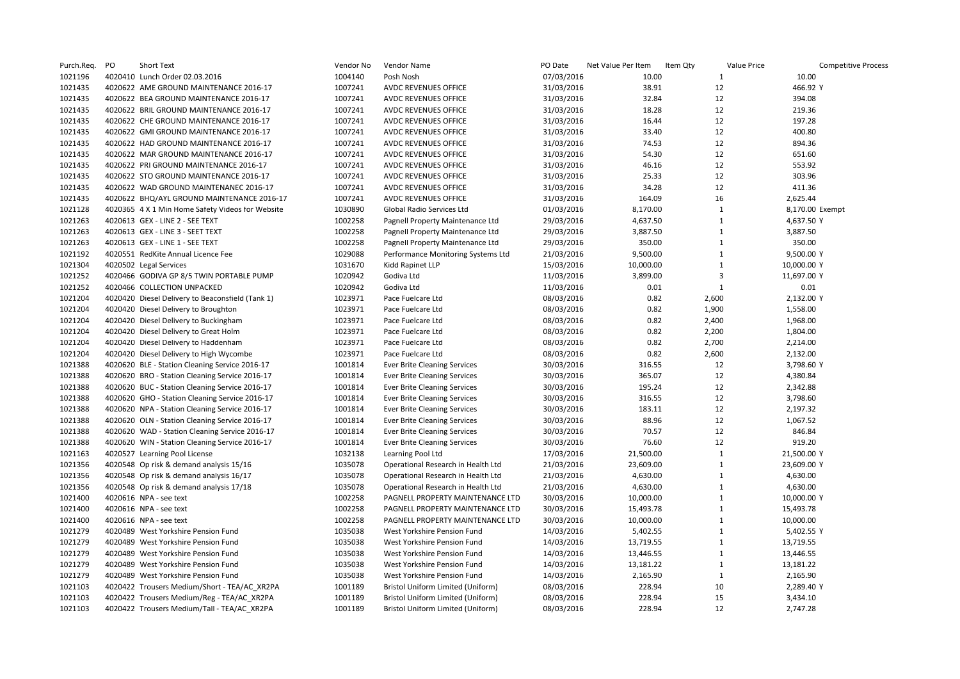| Purch.Req. | PO | <b>Short Text</b>                                                                   | Vendor No          | Vendor Name                                                      | PO Date    | Net Value Per Item | Item Qty<br>Value Price | <b>Competitive Process</b> |
|------------|----|-------------------------------------------------------------------------------------|--------------------|------------------------------------------------------------------|------------|--------------------|-------------------------|----------------------------|
| 1021196    |    | 4020410 Lunch Order 02.03.2016                                                      | 1004140            | Posh Nosh                                                        | 07/03/2016 | 10.00              | 1                       | 10.00                      |
| 1021435    |    | 4020622 AME GROUND MAINTENANCE 2016-17                                              | 1007241            | <b>AVDC REVENUES OFFICE</b>                                      | 31/03/2016 | 38.91              | 12                      | 466.92 Y                   |
| 1021435    |    | 4020622 BEA GROUND MAINTENANCE 2016-17                                              | 1007241            | <b>AVDC REVENUES OFFICE</b>                                      | 31/03/2016 | 32.84              | 12                      | 394.08                     |
| 1021435    |    | 4020622 BRIL GROUND MAINTENANCE 2016-17                                             | 1007241            | <b>AVDC REVENUES OFFICE</b>                                      | 31/03/2016 | 18.28              | 12                      | 219.36                     |
| 1021435    |    | 4020622 CHE GROUND MAINTENANCE 2016-17                                              | 1007241            | AVDC REVENUES OFFICE                                             | 31/03/2016 | 16.44              | 12                      | 197.28                     |
| 1021435    |    | 4020622 GMI GROUND MAINTENANCE 2016-17                                              | 1007241            | AVDC REVENUES OFFICE                                             | 31/03/2016 | 33.40              | 12                      | 400.80                     |
| 1021435    |    | 4020622 HAD GROUND MAINTENANCE 2016-17                                              | 1007241            | <b>AVDC REVENUES OFFICE</b>                                      | 31/03/2016 | 74.53              | 12                      | 894.36                     |
| 1021435    |    | 4020622 MAR GROUND MAINTENANCE 2016-17                                              | 1007241            | AVDC REVENUES OFFICE                                             | 31/03/2016 | 54.30              | 12                      | 651.60                     |
| 1021435    |    | 4020622 PRI GROUND MAINTENANCE 2016-17                                              | 1007241            | <b>AVDC REVENUES OFFICE</b>                                      | 31/03/2016 | 46.16              | 12                      | 553.92                     |
| 1021435    |    | 4020622 STO GROUND MAINTENANCE 2016-17                                              | 1007241            | <b>AVDC REVENUES OFFICE</b>                                      | 31/03/2016 | 25.33              | 12                      | 303.96                     |
| 1021435    |    | 4020622 WAD GROUND MAINTENANEC 2016-17                                              | 1007241            | <b>AVDC REVENUES OFFICE</b>                                      | 31/03/2016 | 34.28              | 12                      | 411.36                     |
| 1021435    |    | 4020622 BHQ/AYL GROUND MAINTENANCE 2016-17                                          | 1007241            | <b>AVDC REVENUES OFFICE</b>                                      | 31/03/2016 | 164.09             | 16                      | 2,625.44                   |
| 1021128    |    | 4020365 4 X 1 Min Home Safety Videos for Website                                    | 1030890            | Global Radio Services Ltd                                        | 01/03/2016 | 8,170.00           | $\mathbf{1}$            | 8,170.00 Exempt            |
| 1021263    |    | 4020613 GEX - LINE 2 - SEE TEXT                                                     | 1002258            | Pagnell Property Maintenance Ltd                                 | 29/03/2016 | 4,637.50           | $\mathbf{1}$            | 4,637.50 Y                 |
| 1021263    |    | 4020613 GEX - LINE 3 - SEET TEXT                                                    | 1002258            | Pagnell Property Maintenance Ltd                                 | 29/03/2016 | 3,887.50           | $\mathbf{1}$            | 3,887.50                   |
| 1021263    |    | 4020613 GEX - LINE 1 - SEE TEXT                                                     | 1002258            | Pagnell Property Maintenance Ltd                                 | 29/03/2016 | 350.00             | $\mathbf{1}$            | 350.00                     |
| 1021192    |    | 4020551 RedKite Annual Licence Fee                                                  | 1029088            | Performance Monitoring Systems Ltd                               | 21/03/2016 | 9,500.00           | $\mathbf{1}$            | 9,500.00 Y                 |
| 1021304    |    | 4020502 Legal Services                                                              | 1031670            | Kidd Rapinet LLP                                                 | 15/03/2016 | 10,000.00          | $\mathbf{1}$            | 10,000.00 Y                |
| 1021252    |    | 4020466 GODIVA GP 8/5 TWIN PORTABLE PUMP                                            | 1020942            | Godiva Ltd                                                       | 11/03/2016 | 3,899.00           | 3                       | 11,697.00 Y                |
| 1021252    |    | 4020466 COLLECTION UNPACKED                                                         | 1020942            | Godiva Ltd                                                       | 11/03/2016 | 0.01               | 1                       | 0.01                       |
| 1021204    |    | 4020420 Diesel Delivery to Beaconsfield (Tank 1)                                    | 1023971            | Pace Fuelcare Ltd                                                | 08/03/2016 | 0.82               | 2,600                   | 2,132.00 Y                 |
| 1021204    |    | 4020420 Diesel Delivery to Broughton                                                | 1023971            | Pace Fuelcare Ltd                                                | 08/03/2016 | 0.82               | 1,900                   | 1,558.00                   |
| 1021204    |    | 4020420 Diesel Delivery to Buckingham                                               | 1023971            | Pace Fuelcare Ltd                                                | 08/03/2016 | 0.82               | 2,400                   | 1,968.00                   |
| 1021204    |    | 4020420 Diesel Delivery to Great Holm                                               | 1023971            | Pace Fuelcare Ltd                                                | 08/03/2016 | 0.82               | 2,200                   | 1,804.00                   |
| 1021204    |    | 4020420 Diesel Delivery to Haddenham                                                | 1023971            | Pace Fuelcare Ltd                                                | 08/03/2016 | 0.82               | 2,700                   | 2,214.00                   |
| 1021204    |    | 4020420 Diesel Delivery to High Wycombe                                             | 1023971            | Pace Fuelcare Ltd                                                | 08/03/2016 | 0.82               | 2,600                   | 2,132.00                   |
| 1021388    |    | 4020620 BLE - Station Cleaning Service 2016-17                                      | 1001814            | <b>Ever Brite Cleaning Services</b>                              | 30/03/2016 | 316.55             | 12                      | 3,798.60 Y                 |
| 1021388    |    | 4020620 BRO - Station Cleaning Service 2016-17                                      | 1001814            | <b>Ever Brite Cleaning Services</b>                              | 30/03/2016 | 365.07             | 12                      | 4,380.84                   |
| 1021388    |    | 4020620 BUC - Station Cleaning Service 2016-17                                      | 1001814            | <b>Ever Brite Cleaning Services</b>                              | 30/03/2016 | 195.24             | 12                      | 2,342.88                   |
| 1021388    |    | 4020620 GHO - Station Cleaning Service 2016-17                                      | 1001814            | <b>Ever Brite Cleaning Services</b>                              | 30/03/2016 | 316.55             | 12                      | 3,798.60                   |
| 1021388    |    | 4020620 NPA - Station Cleaning Service 2016-17                                      | 1001814            | <b>Ever Brite Cleaning Services</b>                              | 30/03/2016 | 183.11             | 12                      | 2,197.32                   |
| 1021388    |    | 4020620 OLN - Station Cleaning Service 2016-17                                      | 1001814            | <b>Ever Brite Cleaning Services</b>                              | 30/03/2016 | 88.96              | 12                      | 1,067.52                   |
| 1021388    |    | 4020620 WAD - Station Cleaning Service 2016-17                                      | 1001814            | <b>Ever Brite Cleaning Services</b>                              | 30/03/2016 | 70.57              | 12                      | 846.84                     |
| 1021388    |    | 4020620 WIN - Station Cleaning Service 2016-17                                      | 1001814            | <b>Ever Brite Cleaning Services</b>                              | 30/03/2016 | 76.60              | 12                      | 919.20                     |
| 1021163    |    | 4020527 Learning Pool License                                                       | 1032138            | Learning Pool Ltd                                                | 17/03/2016 | 21,500.00          | $\mathbf{1}$            | 21,500.00 Y                |
| 1021356    |    | 4020548 Op risk & demand analysis 15/16                                             | 1035078            | Operational Research in Health Ltd                               | 21/03/2016 | 23,609.00          | 1                       | 23,609.00 Y                |
| 1021356    |    | 4020548 Op risk & demand analysis 16/17                                             | 1035078            | Operational Research in Health Ltd                               | 21/03/2016 | 4,630.00           | $\mathbf{1}$            | 4,630.00                   |
| 1021356    |    | 4020548 Op risk & demand analysis 17/18                                             | 1035078            | Operational Research in Health Ltd                               | 21/03/2016 | 4,630.00           | $\mathbf 1$             | 4,630.00                   |
| 1021400    |    | 4020616 NPA - see text                                                              | 1002258            | PAGNELL PROPERTY MAINTENANCE LTD                                 | 30/03/2016 | 10,000.00          | $\mathbf{1}$            | 10,000.00 Y                |
| 1021400    |    | 4020616 NPA - see text                                                              | 1002258            | PAGNELL PROPERTY MAINTENANCE LTD                                 | 30/03/2016 | 15,493.78          | $\mathbf{1}$            | 15,493.78                  |
| 1021400    |    | 4020616 NPA - see text                                                              | 1002258            | PAGNELL PROPERTY MAINTENANCE LTD                                 | 30/03/2016 | 10,000.00          | $\mathbf{1}$            | 10,000.00                  |
| 1021279    |    | 4020489 West Yorkshire Pension Fund                                                 | 1035038            | West Yorkshire Pension Fund                                      | 14/03/2016 | 5,402.55           | $\mathbf{1}$            | 5,402.55 Y                 |
| 1021279    |    | 4020489 West Yorkshire Pension Fund                                                 | 1035038            | West Yorkshire Pension Fund                                      | 14/03/2016 | 13,719.55          | $\mathbf{1}$            | 13,719.55                  |
| 1021279    |    | 4020489 West Yorkshire Pension Fund                                                 | 1035038            | West Yorkshire Pension Fund                                      | 14/03/2016 | 13,446.55          | $\mathbf{1}$            | 13,446.55                  |
| 1021279    |    |                                                                                     |                    |                                                                  |            | 13,181.22          | 1                       | 13,181.22                  |
| 1021279    |    | 4020489 West Yorkshire Pension Fund                                                 | 1035038            | West Yorkshire Pension Fund                                      | 14/03/2016 | 2,165.90           |                         |                            |
| 1021103    |    | 4020489 West Yorkshire Pension Fund<br>4020422 Trousers Medium/Short - TEA/AC XR2PA | 1035038<br>1001189 | West Yorkshire Pension Fund<br>Bristol Uniform Limited (Uniform) | 14/03/2016 | 228.94             | $\mathbf{1}$<br>10      | 2,165.90                   |
| 1021103    |    |                                                                                     | 1001189            | Bristol Uniform Limited (Uniform)                                | 08/03/2016 | 228.94             | 15                      | 2,289.40 Y<br>3,434.10     |
|            |    | 4020422 Trousers Medium/Reg - TEA/AC XR2PA                                          | 1001189            |                                                                  | 08/03/2016 |                    | 12                      |                            |
| 1021103    |    | 4020422 Trousers Medium/Tall - TEA/AC XR2PA                                         |                    | Bristol Uniform Limited (Uniform)                                | 08/03/2016 | 228.94             |                         | 2,747.28                   |